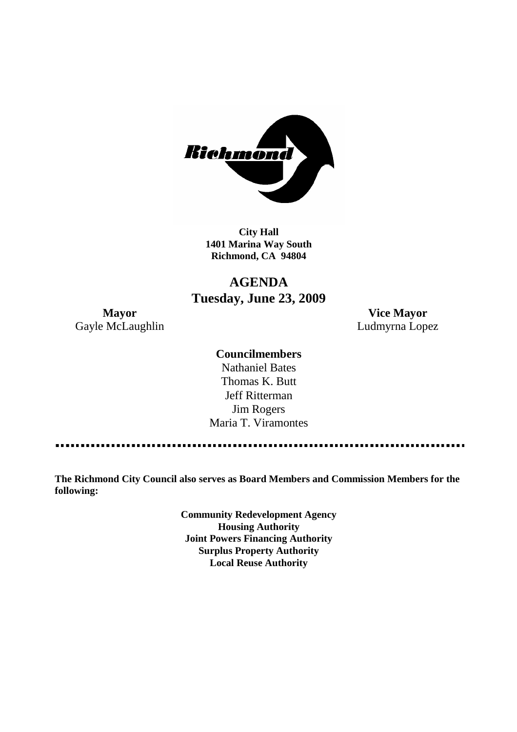

**City Hall 1401 Marina Way South Richmond, CA 94804**

## **AGENDA Tuesday, June 23, 2009**

Gayle McLaughlin **Ludmyrna Lopez** 

**Mayor Vice Mayor**

### **Councilmembers**

Nathaniel Bates Thomas K. Butt Jeff Ritterman Jim Rogers Maria T. Viramontes

**The Richmond City Council also serves as Board Members and Commission Members for the following:**

> **Community Redevelopment Agency Housing Authority Joint Powers Financing Authority Surplus Property Authority Local Reuse Authority**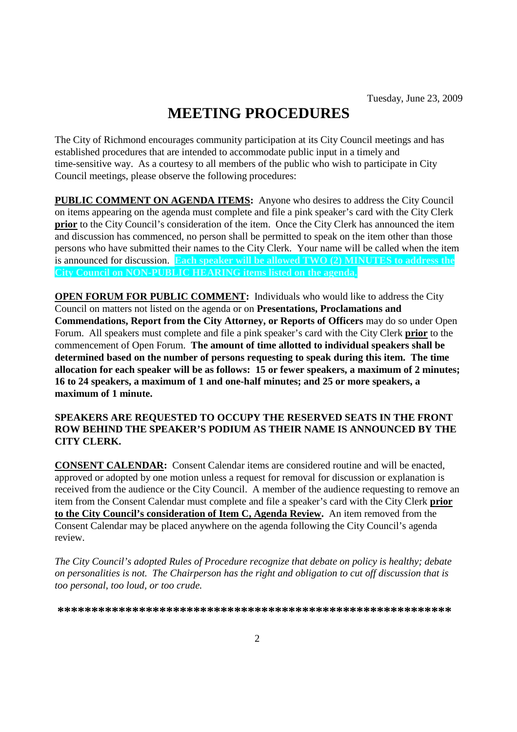# **MEETING PROCEDURES**

The City of Richmond encourages community participation at its City Council meetings and has established procedures that are intended to accommodate public input in a timely and time-sensitive way. As a courtesy to all members of the public who wish to participate in City Council meetings, please observe the following procedures:

**PUBLIC COMMENT ON AGENDA ITEMS:** Anyone who desires to address the City Council on items appearing on the agenda must complete and file a pink speaker's card with the City Clerk **prior** to the City Council's consideration of the item. Once the City Clerk has announced the item and discussion has commenced, no person shall be permitted to speak on the item other than those persons who have submitted their names to the City Clerk. Your name will be called when the item is announced for discussion. **Each speaker will be allowed TWO (2) MINUTES to address the City Council on NON-PUBLIC HEARING items listed on the agenda.**

**OPEN FORUM FOR PUBLIC COMMENT:** Individuals who would like to address the City Council on matters not listed on the agenda or on **Presentations, Proclamations and Commendations, Report from the City Attorney, or Reports of Officers** may do so under Open Forum. All speakers must complete and file a pink speaker's card with the City Clerk **prior** to the commencement of Open Forum. **The amount of time allotted to individual speakers shall be determined based on the number of persons requesting to speak during this item. The time allocation for each speaker will be as follows: 15 or fewer speakers, a maximum of 2 minutes; 16 to 24 speakers, a maximum of 1 and one-half minutes; and 25 or more speakers, a maximum of 1 minute.**

### **SPEAKERS ARE REQUESTED TO OCCUPY THE RESERVED SEATS IN THE FRONT ROW BEHIND THE SPEAKER'S PODIUM AS THEIR NAME IS ANNOUNCED BY THE CITY CLERK.**

**CONSENT CALENDAR:** Consent Calendar items are considered routine and will be enacted, approved or adopted by one motion unless a request for removal for discussion or explanation is received from the audience or the City Council. A member of the audience requesting to remove an item from the Consent Calendar must complete and file a speaker's card with the City Clerk **prior to the City Council's consideration of Item C, Agenda Review.** An item removed from the Consent Calendar may be placed anywhere on the agenda following the City Council's agenda review.

*The City Council's adopted Rules of Procedure recognize that debate on policy is healthy; debate on personalities is not. The Chairperson has the right and obligation to cut off discussion that is too personal, too loud, or too crude.*

**\*\*\*\*\*\*\*\*\*\*\*\*\*\*\*\*\*\*\*\*\*\*\*\*\*\*\*\*\*\*\*\*\*\*\*\*\*\*\*\*\*\*\*\*\*\*\*\*\*\*\*\*\*\*\*\*\*\***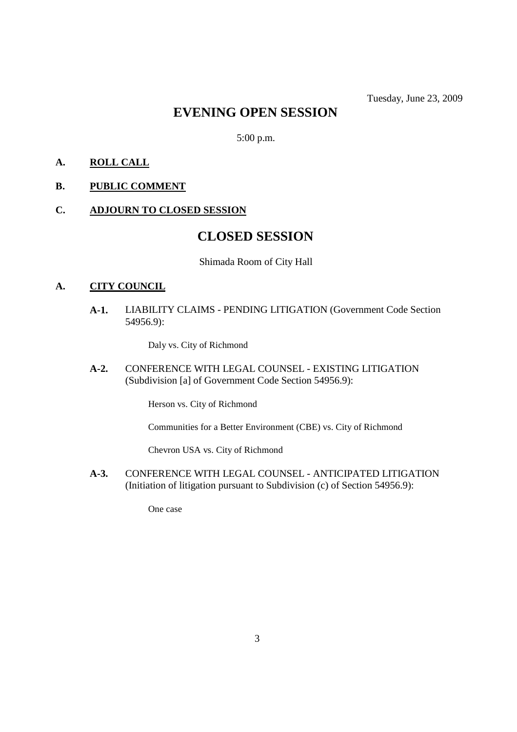### **EVENING OPEN SESSION**

5:00 p.m.

- **A. ROLL CALL**
- **B. PUBLIC COMMENT**
- **C. ADJOURN TO CLOSED SESSION**

### **CLOSED SESSION**

Shimada Room of City Hall

#### **A. CITY COUNCIL**

**A-1.** LIABILITY CLAIMS - PENDING LITIGATION (Government Code Section 54956.9):

Daly vs. City of Richmond

**A-2.** CONFERENCE WITH LEGAL COUNSEL - EXISTING LITIGATION (Subdivision [a] of Government Code Section 54956.9):

Herson vs. City of Richmond

Communities for a Better Environment (CBE) vs. City of Richmond

Chevron USA vs. City of Richmond

**A-3.** CONFERENCE WITH LEGAL COUNSEL - ANTICIPATED LITIGATION (Initiation of litigation pursuant to Subdivision (c) of Section 54956.9):

One case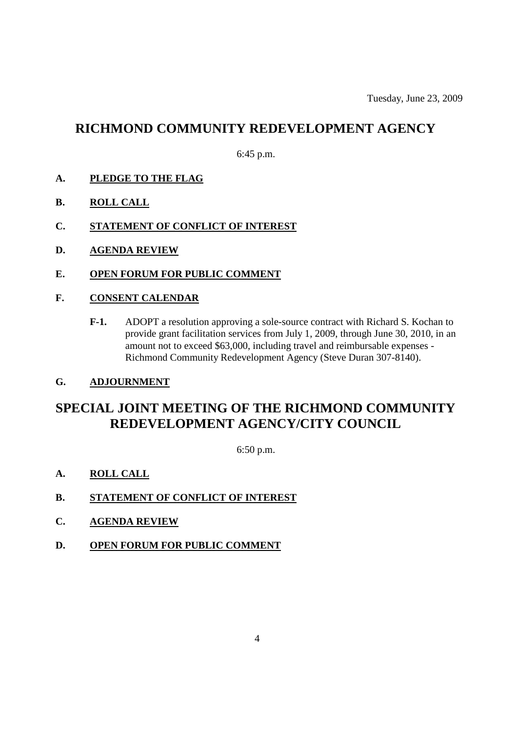### **RICHMOND COMMUNITY REDEVELOPMENT AGENCY**

6:45 p.m.

- **A. PLEDGE TO THE FLAG**
- **B. ROLL CALL**
- **C. STATEMENT OF CONFLICT OF INTEREST**
- **D. AGENDA REVIEW**
- **E. OPEN FORUM FOR PUBLIC COMMENT**
- **F. CONSENT CALENDAR**
	- **F-1.** ADOPT a resolution approving a sole-source contract with Richard S. Kochan to provide grant facilitation services from July 1, 2009, through June 30, 2010, in an amount not to exceed \$63,000, including travel and reimbursable expenses - Richmond Community Redevelopment Agency (Steve Duran 307-8140).
- **G. ADJOURNMENT**

### **SPECIAL JOINT MEETING OF THE RICHMOND COMMUNITY REDEVELOPMENT AGENCY/CITY COUNCIL**

6:50 p.m.

- **A. ROLL CALL**
- **B. STATEMENT OF CONFLICT OF INTEREST**
- **C. AGENDA REVIEW**
- **D. OPEN FORUM FOR PUBLIC COMMENT**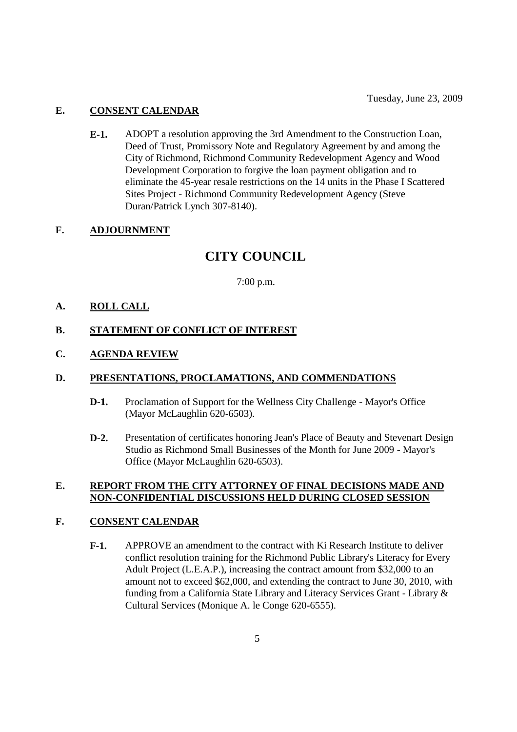### **E. CONSENT CALENDAR**

**E-1.** ADOPT a resolution approving the 3rd Amendment to the Construction Loan, Deed of Trust, Promissory Note and Regulatory Agreement by and among the City of Richmond, Richmond Community Redevelopment Agency and Wood Development Corporation to forgive the loan payment obligation and to eliminate the 45-year resale restrictions on the 14 units in the Phase I Scattered Sites Project - Richmond Community Redevelopment Agency (Steve Duran/Patrick Lynch 307-8140).

### **F. ADJOURNMENT**

### **CITY COUNCIL**

7:00 p.m.

### **A. ROLL CALL**

### **B. STATEMENT OF CONFLICT OF INTEREST**

**C. AGENDA REVIEW**

### **D. PRESENTATIONS, PROCLAMATIONS, AND COMMENDATIONS**

- **D-1.** Proclamation of Support for the Wellness City Challenge Mayor's Office (Mayor McLaughlin 620-6503).
- **D-2.** Presentation of certificates honoring Jean's Place of Beauty and Stevenart Design Studio as Richmond Small Businesses of the Month for June 2009 - Mayor's Office (Mayor McLaughlin 620-6503).

### **E. REPORT FROM THE CITY ATTORNEY OF FINAL DECISIONS MADE AND NON-CONFIDENTIAL DISCUSSIONS HELD DURING CLOSED SESSION**

### **F. CONSENT CALENDAR**

**F-1.** APPROVE an amendment to the contract with Ki Research Institute to deliver conflict resolution training for the Richmond Public Library's Literacy for Every Adult Project (L.E.A.P.), increasing the contract amount from \$32,000 to an amount not to exceed \$62,000, and extending the contract to June 30, 2010, with funding from a California State Library and Literacy Services Grant - Library & Cultural Services (Monique A. le Conge 620-6555).